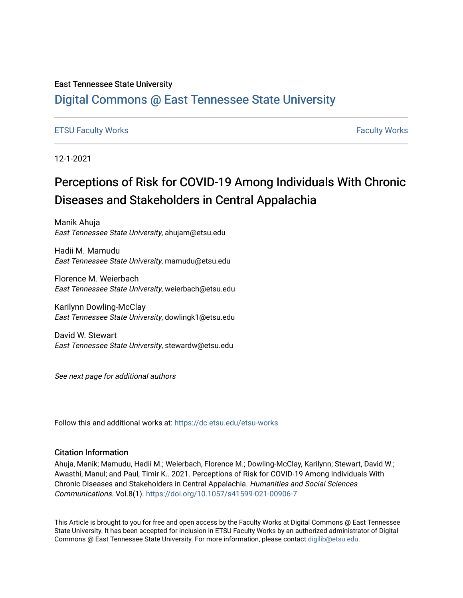#### East Tennessee State University

## [Digital Commons @ East Tennessee State University](https://dc.etsu.edu/)

### [ETSU Faculty Works](https://dc.etsu.edu/etsu-works) [Faculty Works](https://dc.etsu.edu/faculty-works)

12-1-2021

## Perceptions of Risk for COVID-19 Among Individuals With Chronic Diseases and Stakeholders in Central Appalachia

Manik Ahuja East Tennessee State University, ahujam@etsu.edu

Hadii M. Mamudu East Tennessee State University, mamudu@etsu.edu

Florence M. Weierbach East Tennessee State University, weierbach@etsu.edu

Karilynn Dowling-McClay East Tennessee State University, dowlingk1@etsu.edu

David W. Stewart East Tennessee State University, stewardw@etsu.edu

See next page for additional authors

Follow this and additional works at: [https://dc.etsu.edu/etsu-works](https://dc.etsu.edu/etsu-works?utm_source=dc.etsu.edu%2Fetsu-works%2F9480&utm_medium=PDF&utm_campaign=PDFCoverPages) 

#### Citation Information

Ahuja, Manik; Mamudu, Hadii M.; Weierbach, Florence M.; Dowling-McClay, Karilynn; Stewart, David W.; Awasthi, Manul; and Paul, Timir K.. 2021. Perceptions of Risk for COVID-19 Among Individuals With Chronic Diseases and Stakeholders in Central Appalachia. Humanities and Social Sciences Communications. Vol.8(1).<https://doi.org/10.1057/s41599-021-00906-7>

This Article is brought to you for free and open access by the Faculty Works at Digital Commons @ East Tennessee State University. It has been accepted for inclusion in ETSU Faculty Works by an authorized administrator of Digital Commons @ East Tennessee State University. For more information, please contact [digilib@etsu.edu.](mailto:digilib@etsu.edu)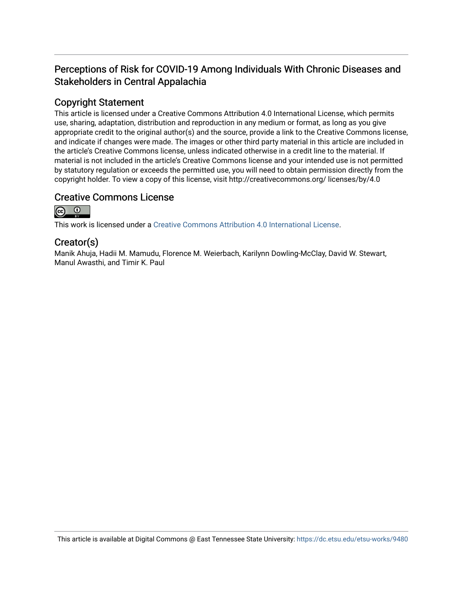## Perceptions of Risk for COVID-19 Among Individuals With Chronic Diseases and Stakeholders in Central Appalachia

## Copyright Statement

This article is licensed under a Creative Commons Attribution 4.0 International License, which permits use, sharing, adaptation, distribution and reproduction in any medium or format, as long as you give appropriate credit to the original author(s) and the source, provide a link to the Creative Commons license, and indicate if changes were made. The images or other third party material in this article are included in the article's Creative Commons license, unless indicated otherwise in a credit line to the material. If material is not included in the article's Creative Commons license and your intended use is not permitted by statutory regulation or exceeds the permitted use, you will need to obtain permission directly from the copyright holder. To view a copy of this license, visit http://creativecommons.org/ licenses/by/4.0

### Creative Commons License



This work is licensed under a [Creative Commons Attribution 4.0 International License.](https://creativecommons.org/licenses/by/4.0/)

## Creator(s)

Manik Ahuja, Hadii M. Mamudu, Florence M. Weierbach, Karilynn Dowling-McClay, David W. Stewart, Manul Awasthi, and Timir K. Paul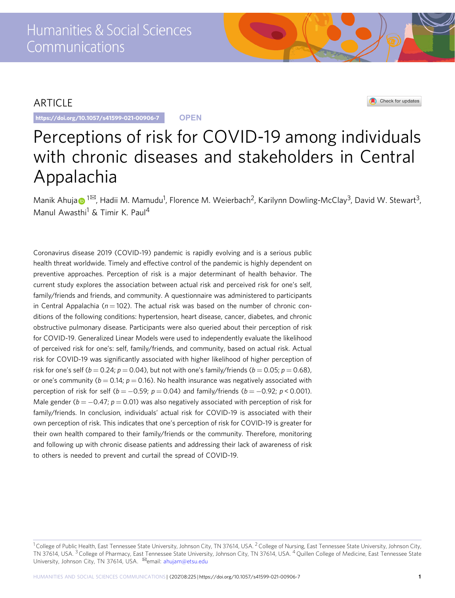## ARTICLE

https://doi.org/10.1057/s41599-021-00906-7 **OPEN**

Check for updates

# Perceptions of risk for COVID-19 among individuals with chronic diseases and stakeholders in Central Appalachia

M[a](http://orcid.org/0000-0002-3446-9216)nik Ahuja $\odot$  [1](http://orcid.org/0000-0002-3446-9216) $^{\boxtimes}$ , Hadii M. Mamudu<sup>1</sup>, Florence M. Weierbach<sup>2</sup>, Karilynn Dowling-McClay<sup>3</sup>, David W. Stewart<sup>3</sup>, Manul Awasthi<sup>1</sup> & Timir K. Paul<sup>4</sup>

Coronavirus disease 2019 (COVID-19) pandemic is rapidly evolving and is a serious public health threat worldwide. Timely and effective control of the pandemic is highly dependent on preventive approaches. Perception of risk is a major determinant of health behavior. The current study explores the association between actual risk and perceived risk for one's self, family/friends and friends, and community. A questionnaire was administered to participants in Central Appalachia ( $n = 102$ ). The actual risk was based on the number of chronic conditions of the following conditions: hypertension, heart disease, cancer, diabetes, and chronic obstructive pulmonary disease. Participants were also queried about their perception of risk for COVID-19. Generalized Linear Models were used to independently evaluate the likelihood of perceived risk for one's: self, family/friends, and community, based on actual risk. Actual risk for COVID-19 was significantly associated with higher likelihood of higher perception of risk for one's self ( $b = 0.24$ ;  $p = 0.04$ ), but not with one's family/friends ( $b = 0.05$ ;  $p = 0.68$ ), or one's community ( $b = 0.14$ ;  $p = 0.16$ ). No health insurance was negatively associated with perception of risk for self ( $b = -0.59$ ;  $p = 0.04$ ) and family/friends ( $b = -0.92$ ;  $p < 0.001$ ). Male gender ( $b = -0.47$ ;  $p = 0.01$ ) was also negatively associated with perception of risk for family/friends. In conclusion, individuals' actual risk for COVID-19 is associated with their own perception of risk. This indicates that one's perception of risk for COVID-19 is greater for their own health compared to their family/friends or the community. Therefore, monitoring and following up with chronic disease patients and addressing their lack of awareness of risk to others is needed to prevent and curtail the spread of COVID-19.

<sup>&</sup>lt;sup>1</sup> College of Public Health, East Tennessee State University, Johnson City, TN 37614, USA. <sup>2</sup> College of Nursing, East Tennessee State University, Johnson City, TN 37614, USA. <sup>3</sup> College of Pharmacy, East Tennessee State University, Johnson City, TN 37614, USA. <sup>4</sup> Quillen College of Medicine, East Tennessee State University, Johnson City, TN 37614, USA. <sup>⊠</sup>email: [ahujam@etsu.edu](mailto:ahujam@etsu.edu)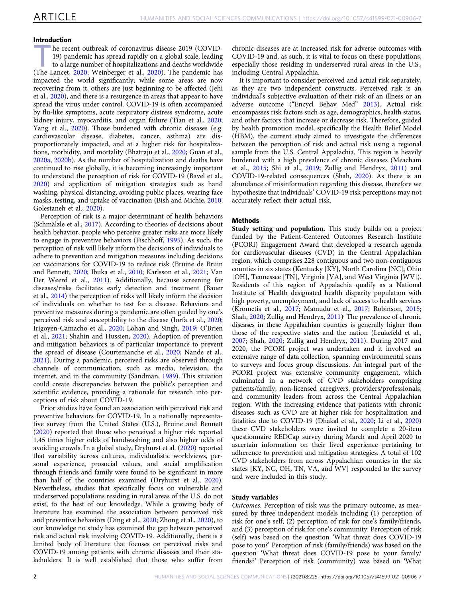#### Introduction

the recent outbreak of coronavirus disease 2019 (COVID-<br>
19) pandemic has spread rapidly on a global scale, leading<br>
to a large number of hospitalizations and deaths worldwide 19) pandemic has spread rapidly on a global scale, leading (The Lancet, [2020](#page-7-0); Weinberger et al., [2020\)](#page-7-0). The pandemic has impacted the world significantly; while some areas are now recovering from it, others are just beginning to be affected (Jehi et al., [2020\)](#page-6-0), and there is a resurgence in areas that appear to have spread the virus under control. COVID-19 is often accompanied by flu-like symptoms, acute respiratory distress syndrome, acute kidney injury, myocarditis, and organ failure (Tian et al., [2020;](#page-7-0) Yang et al., [2020](#page-7-0)). Those burdened with chronic diseases (e.g. cardiovascular disease, diabetes, cancer, asthma) are disproportionately impacted, and at a higher risk for hospitalizations, morbidity, and mortality (Bhatraju et al., [2020](#page-6-0); Guan et al., [2020a,](#page-6-0) [2020b\)](#page-6-0). As the number of hospitalization and deaths have continued to rise globally, it is becoming increasingly important to understand the perception of risk for COVID-19 (Bavel et al., [2020\)](#page-6-0) and application of mitigation strategies such as hand washing, physical distancing, avoiding public places, wearing face masks, testing, and uptake of vaccination (Bish and Michie, [2010;](#page-6-0) Golestaneh et al., [2020\)](#page-6-0).

Perception of risk is a major determinant of health behaviors (Schmälzle et al., [2017\)](#page-7-0). According to theories of decisions about health behavior, people who perceive greater risks are more likely to engage in preventive behaviors (Fischhoff, [1995](#page-6-0)). As such, the perception of risk will likely inform the decisions of individuals to adhere to prevention and mitigation measures including decisions on vaccinations for COVID-19 to reduce risk (Bruine de Bruin and Bennett, [2020;](#page-6-0) Ibuka et al., [2010](#page-6-0); Karlsson et al., [2021](#page-6-0); Van Der Weerd et al., [2011](#page-7-0)). Additionally, because screening for diseases/risks facilitates early detection and treatment (Bauer et al., [2014\)](#page-6-0) the perception of risks will likely inform the decision of individuals on whether to test for a disease. Behaviors and preventive measures during a pandemic are often guided by one's perceived risk and susceptibility to the disease (Iorfa et al., [2020;](#page-6-0) Irigoyen-Camacho et al., [2020](#page-6-0); Lohan and Singh, [2019](#page-6-0); O'Brien et al., [2021;](#page-6-0) Shahin and Hussien, [2020\)](#page-7-0). Adoption of prevention and mitigation behaviors is of particular importance to prevent the spread of disease (Courtemanche et al., [2020;](#page-6-0) Nande et al., [2021\)](#page-6-0). During a pandemic, perceived risks are observed through channels of communication, such as media, television, the internet, and in the community (Sandman, [1989](#page-7-0)). This situation could create discrepancies between the public's perception and scientific evidence, providing a rationale for research into perceptions of risk about COVID-19.

Prior studies have found an association with perceived risk and preventive behaviors for COVID-19. In a nationally representative survey from the United States (U.S.), Bruine and Bennett ([2020\)](#page-6-0) reported that those who perceived a higher risk reported 1.45 times higher odds of handwashing and also higher odds of avoiding crowds. In a global study, Dryhurst et al. ([2020\)](#page-6-0) reported that variability across cultures, individualistic worldviews, personal experience, prosocial values, and social amplification through friends and family were found to be significant in more than half of the countries examined (Dryhurst et al., [2020](#page-6-0)). Nevertheless, studies that specifically focus on vulnerable and underserved populations residing in rural areas of the U.S. do not exist, to the best of our knowledge. While a growing body of literature has examined the association between perceived risk and preventive behaviors (Ding et al., [2020;](#page-6-0) Zhong et al., [2020](#page-7-0)), to our knowledge no study has examined the gap between perceived risk and actual risk involving COVID-19. Additionally, there is a limited body of literature that focuses on perceived risks and COVID-19 among patients with chronic diseases and their stakeholders. It is well established that those who suffer from

chronic diseases are at increased risk for adverse outcomes with COVID-19 and, as such, it is vital to focus on these populations, especially those residing in underserved rural areas in the U.S., including Central Appalachia.

It is important to consider perceived and actual risk separately, as they are two independent constructs. Perceived risk is an individual's subjective evaluation of their risk of an illness or an adverse outcome ("Encycl Behav Med" [2013\)](#page-6-0). Actual risk encompasses risk factors such as age, demographics, health status, and other factors that increase or decrease risk. Therefore, guided by health promotion model, specifically the Health Belief Model (HBM), the current study aimed to investigate the differences between the perception of risk and actual risk using a regional sample from the U.S. Central Appalachia. This region is heavily burdened with a high prevalence of chronic diseases (Meacham et al., [2015;](#page-6-0) Shi et al., [2019;](#page-7-0) Zullig and Hendryx, [2011](#page-7-0)) and COVID-19-related consequences (Shah, [2020\)](#page-7-0). As there is an abundance of misinformation regarding this disease, therefore we hypothesize that individuals' COVID-19 risk perceptions may not accurately reflect their actual risk.

#### Methods

Study setting and population. This study builds on a project funded by the Patient-Centered Outcomes Research Institute (PCORI) Engagement Award that developed a research agenda for cardiovascular diseases (CVD) in the Central Appalachian region, which comprises 228 contiguous and two non-contiguous counties in six states (Kentucky [KY], North Carolina [NC], Ohio [OH], Tennessee [TN], Virginia [VA], and West Virginia [WV]). Residents of this region of Appalachia qualify as a National Institute of Health designated health disparity population with high poverty, unemployment, and lack of access to health services (Krometis et al., [2017](#page-6-0); Mamudu et al., [2017](#page-6-0); Robinson, [2015;](#page-7-0) Shah, [2020;](#page-7-0) Zullig and Hendryx, [2011](#page-7-0)). The prevalence of chronic diseases in these Appalachian counties is generally higher than those of the respective states and the nation (Leukefeld et al., [2007;](#page-6-0) Shah, [2020;](#page-7-0) Zullig and Hendryx, [2011](#page-7-0)). During 2017 and 2020, the PCORI project was undertaken and it involved an extensive range of data collection, spanning environmental scans to surveys and focus group discussions. An integral part of the PCORI project was extensive community engagement, which culminated in a network of CVD stakeholders comprising patients/family, non-licensed caregivers, providers/professionals, and community leaders from across the Central Appalachian region. With the increasing evidence that patients with chronic diseases such as CVD are at higher risk for hospitalization and fatalities due to COVID-19 (Dhakal et al., [2020](#page-6-0); Li et al., [2020](#page-6-0)) these CVD stakeholders were invited to complete a 20-item questionnaire REDCap survey during March and April 2020 to ascertain information on their lived experience pertaining to adherence to prevention and mitigation strategies. A total of 102 CVD stakeholders from across Appalachian counties in the six states [KY, NC, OH, TN, VA, and WV] responded to the survey and were included in this study.

#### Study variables

Outcomes. Perception of risk was the primary outcome, as measured by three independent models including (1) perception of risk for one's self, (2) perception of risk for one's family/friends, and (3) perception of risk for one's community. Perception of risk (self) was based on the question 'What threat does COVID-19 pose to you?' Perception of risk (family/friends) was based on the question 'What threat does COVID-19 pose to your family/ friends?' Perception of risk (community) was based on 'What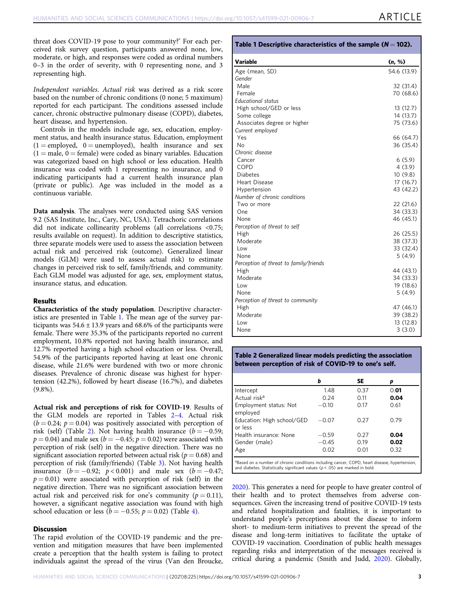threat does COVID-19 pose to your community?' For each perceived risk survey question, participants answered none, low, moderate, or high, and responses were coded as ordinal numbers 0–3 in the order of severity, with 0 representing none, and 3 representing high.

Independent variables. Actual risk was derived as a risk score based on the number of chronic conditions (0 none; 5 maximum) reported for each participant. The conditions assessed include cancer, chronic obstructive pulmonary disease (COPD), diabetes, heart disease, and hypertension.

Controls in the models include age, sex, education, employment status, and health insurance status. Education, employment  $(1 =$ employed,  $0 =$ unemployed), health insurance and sex  $(1 = male, 0 = female)$  were coded as binary variables. Education was categorized based on high school or less education. Health insurance was coded with 1 representing no insurance, and 0 indicating participants had a current health insurance plan (private or public). Age was included in the model as a continuous variable.

Data analysis. The analyses were conducted using SAS version 9.2 (SAS Institute, Inc., Cary, NC, USA). Tetrachoric correlations did not indicate collinearity problems (all correlations <0.75; results available on request). In addition to descriptive statistics, three separate models were used to assess the association between actual risk and perceived risk (outcome). Generalized linear models (GLM) were used to assess actual risk) to estimate changes in perceived risk to self, family/friends, and community. Each GLM model was adjusted for age, sex, employment status, insurance status, and education.

#### Results

Characteristics of the study population. Descriptive characteristics are presented in Table 1. The mean age of the survey participants was  $54.6 \pm 13.9$  years and 68.6% of the participants were female. There were 35.3% of the participants reported no current employment, 10.8% reported not having health insurance, and 12.7% reported having a high school education or less. Overall, 54.9% of the participants reported having at least one chronic disease, while 21.6% were burdened with two or more chronic diseases. Prevalence of chronic disease was highest for hypertension (42.2%), followed by heart disease (16.7%), and diabetes (9.8%).

Actual risk and perceptions of risk for COVID-19. Results of the GLM models are reported in Tables 2–[4.](#page-5-0) Actual risk  $(b = 0.24; p = 0.04)$  was positively associated with perception of risk (self) (Table 2). Not having health insurance ( $b = -0.59$ ;  $p = 0.04$ ) and male sex ( $b = -0.45$ ;  $p = 0.02$ ) were associated with perception of risk (self) in the negative direction. There was no significant association reported between actual risk ( $p = 0.68$ ) and perception of risk (family/friends) (Table [3\)](#page-5-0). Not having health insurance  $(b = -0.92; p < 0.001)$  and male sex  $(b = -0.47;$  $p = 0.01$ ) were associated with perception of risk (self) in the negative direction. There was no significant association between actual risk and perceived risk for one's community ( $p = 0.11$ ), however, a significant negative association was found with high school education or less ( $b = -0.55$ ;  $p = 0.02$ ) (Table [4](#page-5-0)).

#### **Discussion**

The rapid evolution of the COVID-19 pandemic and the prevention and mitigation measures that have been implemented create a perception that the health system is failing to protect individuals against the spread of the virus (Van den Broucke,

| Variable                               | (n, %)      |
|----------------------------------------|-------------|
| Age (mean, SD)                         | 54.6 (13.9) |
| Gender                                 |             |
| Male                                   | 32 (31.4)   |
| Female                                 | 70 (68.6)   |
| <b>Educational status</b>              |             |
| High school/GED or less                | 13 (12.7)   |
| Some college                           | 14 (13.7)   |
| Associates degree or higher            | 75 (73.6)   |
| Current employed                       |             |
| Yes                                    | 66 (64.7)   |
| No                                     | 36 (35.4)   |
| Chronic disease                        |             |
| Cancer                                 | 6(5.9)      |
| <b>COPD</b>                            | 4(3.9)      |
| <b>Diabetes</b>                        | 10(9.8)     |
| <b>Heart Disease</b>                   | 17 (16.7)   |
| Hypertension                           | 43 (42.2)   |
| Number of chronic conditions           |             |
| Two or more                            | 22 (21.6)   |
| One                                    | 34 (33.3)   |
| None                                   | 46 (45.1)   |
| Perception of threat to self           |             |
| High                                   | 26 (25.5)   |
| Moderate                               | 38 (37.3)   |
| Low                                    | 33 (32.4)   |
| None                                   | 5(4.9)      |
| Perception of threat to family/friends |             |
| High                                   | 44 (43.1)   |
| Moderate                               | 34 (33.3)   |
| Low                                    | 19 (18.6)   |
| None                                   | 5(4.9)      |
| Perception of threat to community      |             |
| High                                   | 47 (46.1)   |
| Moderate                               | 39 (38.2)   |
| Low                                    | 13 (12.8)   |
| None                                   | 3(3.0)      |

Table 2 Generalized linear models predicting the association between perception of risk of COVID-19 to one's self.

|                                                                                                                                                                                               | b       | <b>SE</b> | D    |
|-----------------------------------------------------------------------------------------------------------------------------------------------------------------------------------------------|---------|-----------|------|
| Intercept                                                                                                                                                                                     | 1.48    | 0.37      | 0.01 |
| Actual risk <sup>a</sup>                                                                                                                                                                      | 0.24    | 0.11      | 0.04 |
| Employment status: Not<br>employed                                                                                                                                                            | $-0.10$ | 0.17      | 0.61 |
| Education: High school/GED<br>or less                                                                                                                                                         | $-0.07$ | 0.27      | 0.79 |
| Health insurance: None                                                                                                                                                                        | $-0.59$ | 0.27      | 0.04 |
| Gender (male)                                                                                                                                                                                 | $-0.45$ | 0.19      | 0.02 |
| Age                                                                                                                                                                                           | 0.02    | 0.01      | 0.32 |
| <sup>a</sup> Based on a number of chronic conditions including cancer, COPD, heart disease, hypertension,<br>and diabetes. Statistically significant values ( $p < .05$ ) are marked in bold. |         |           |      |

[2020\)](#page-7-0). This generates a need for people to have greater control of their health and to protect themselves from adverse consequences. Given the increasing trend of positive COVID-19 tests and related hospitalization and fatalities, it is important to understand people's perceptions about the disease to inform short- to medium-term initiatives to prevent the spread of the disease and long-term initiatives to facilitate the uptake of COVID-19 vaccination. Coordination of public health messages regarding risks and interpretation of the messages received is critical during a pandemic (Smith and Judd, [2020\)](#page-7-0). Globally,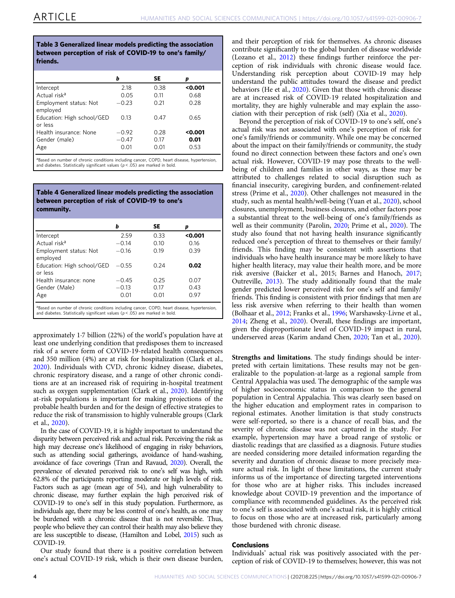#### <span id="page-5-0"></span>Table 3 Generalized linear models predicting the association between perception of risk of COVID-19 to one's family/ friends.

|                                       | b       | SE   | p       |
|---------------------------------------|---------|------|---------|
| Intercept                             | 2.18    | 0.38 | < 0.001 |
| Actual risk <sup>a</sup>              | 0.05    | 0.11 | 0.68    |
| Employment status: Not<br>employed    | $-0.23$ | 0.21 | 0.28    |
| Education: High school/GED<br>or less | 0.13    | 0.47 | 0.65    |
| Health insurance: None                | $-0.92$ | 0.28 | < 0.001 |
| Gender (male)                         | $-0.47$ | 0.17 | 0.01    |
| Age                                   | 0.01    | 0.01 | 0.53    |
|                                       |         |      |         |

a<br>**Based on number of chronic conditions including cancer, COPD, heart disease, hypertension** and diabetes. Statistically significant values  $(p < .05)$  are marked in bold.

Table 4 Generalized linear models predicting the association between perception of risk of COVID-19 to one's community.

| b       | SE   | D       |
|---------|------|---------|
| 2.59    | 0.33 | < 0.001 |
| $-0.14$ | 0.10 | 0.16    |
| $-0.16$ | 0.19 | 0.39    |
| $-0.55$ | 0.24 | 0.02    |
| $-0.45$ | 0.25 | 0.07    |
| $-0.13$ | 0.17 | 0.43    |
| 0.01    | 0.01 | 0.97    |
|         |      |         |

<sup>a</sup>Based on number of chronic conditions including cancer, COPD, heart disease, hypertension,<br>and diabetes. Statistically significant values (p < .05) are marked in bold.

approximately 1·7 billion (22%) of the world's population have at least one underlying condition that predisposes them to increased risk of a severe form of COVID-19-related health consequences and 350 million (4%) are at risk for hospitalization (Clark et al., [2020\)](#page-6-0). Individuals with CVD, chronic kidney disease, diabetes, chronic respiratory disease, and a range of other chronic conditions are at an increased risk of requiring in-hospital treatment such as oxygen supplementation (Clark et al., [2020\)](#page-6-0). Identifying at-risk populations is important for making projections of the probable health burden and for the design of effective strategies to reduce the risk of transmission to highly vulnerable groups (Clark et al., [2020](#page-6-0)).

In the case of COVID-19, it is highly important to understand the disparity between perceived risk and actual risk. Perceiving the risk as high may decrease one's likelihood of engaging in risky behaviors, such as attending social gatherings, avoidance of hand-washing, avoidance of face coverings (Tran and Ravaud, [2020](#page-7-0)). Overall, the prevalence of elevated perceived risk to one's self was high, with 62.8% of the participants reporting moderate or high levels of risk. Factors such as age (mean age of 54), and high vulnerability to chronic disease, may further explain the high perceived risk of COVID-19 to one's self in this study population. Furthermore, as individuals age, there may be less control of one's health, as one may be burdened with a chronic disease that is not reversible. Thus, people who believe they can control their health may also believe they are less susceptible to disease, (Hamilton and Lobel, [2015\)](#page-6-0) such as COVID-19.

Our study found that there is a positive correlation between one's actual COVID-19 risk, which is their own disease burden,

and their perception of risk for themselves. As chronic diseases contribute significantly to the global burden of disease worldwide (Lozano et al., [2012\)](#page-6-0) these findings further reinforce the perception of risk individuals with chronic disease would face. Understanding risk perception about COVID-19 may help understand the public attitudes toward the disease and predict behaviors (He et al., [2020\)](#page-6-0). Given that those with chronic disease are at increased risk of COVID-19 related hospitalization and mortality, they are highly vulnerable and may explain the association with their perception of risk (self) (Xia et al., [2020\)](#page-7-0).

Beyond the perception of risk of COVID-19 to one's self, one's actual risk was not associated with one's perception of risk for one's family/friends or community. While one may be concerned about the impact on their family/friends or community, the study found no direct connection between these factors and one's own actual risk. However, COVID-19 may pose threats to the wellbeing of children and families in other ways, as these may be attributed to challenges related to social disruption such as financial insecurity, caregiving burden, and confinement-related stress (Prime et al., [2020](#page-7-0)). Other challenges not measured in the study, such as mental health/well-being (Yuan et al., [2020\)](#page-7-0), school closures, unemployment, business closures, and other factors pose a substantial threat to the well-being of one's family/friends as well as their community (Parolin, [2020;](#page-7-0) Prime et al., [2020](#page-7-0)). The study also found that not having health insurance significantly reduced one's perception of threat to themselves or their family/ friends. This finding may be consistent with assertions that individuals who have health insurance may be more likely to have higher health literacy, may value their health more, and be more risk aversive (Baicker et al., 2015; Barnes and Hanoch, [2017;](#page-6-0) Outreville, [2013](#page-7-0)). The study additionally found that the male gender predicted lower perceived risk for one's self and family/ friends. This finding is consistent with prior findings that men are less risk aversive when referring to their health than women (Bolhaar et al., [2012](#page-6-0); Franks et al., [1996](#page-6-0); Warshawsky-Livne et al., [2014;](#page-7-0) Zheng et al., [2020\)](#page-7-0). Overall, these findings are important, given the disproportionate level of COVID-19 impact in rural, underserved areas (Karim andand Chen, [2020](#page-6-0); Tan et al., [2020](#page-7-0)).

Strengths and limitations. The study findings should be interpreted with certain limitations. These results may not be generalizable to the population-at-large as a regional sample from Central Appalachia was used. The demographic of the sample was of higher socioeconomic status in comparison to the general population in Central Appalachia. This was clearly seen based on the higher education and employment rates in comparison to regional estimates. Another limitation is that study constructs were self-reported, so there is a chance of recall bias, and the severity of chronic disease was not captured in the study. For example, hypertension may have a broad range of systolic or diastolic readings that are classified as a diagnosis. Future studies are needed considering more detailed information regarding the severity and duration of chronic disease to more precisely measure actual risk. In light of these limitations, the current study informs us of the importance of directing targeted interventions for those who are at higher risks. This includes increased knowledge about COVID-19 prevention and the importance of compliance with recommended guidelines. As the perceived risk to one's self is associated with one's actual risk, it is highly critical to focus on those who are at increased risk, particularly among those burdened with chronic disease.

#### Conclusions

Individuals' actual risk was positively associated with the perception of risk of COVID-19 to themselves; however, this was not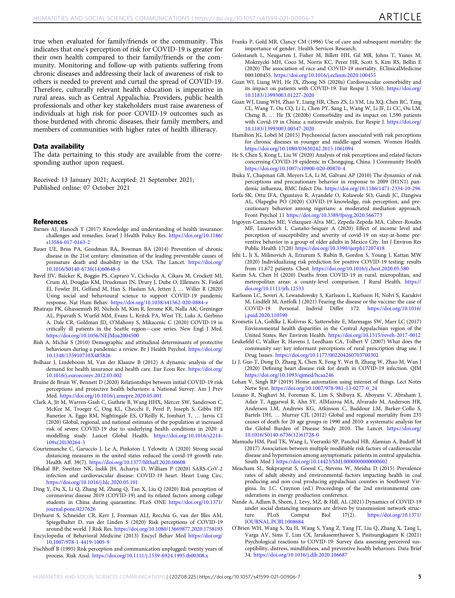<span id="page-6-0"></span>true when evaluated for family/friends or the community. This indicates that one's perception of risk for COVID-19 is greater for their own health compared to their family/friends or the community. Monitoring and follow-up with patients suffering from chronic diseases and addressing their lack of awareness of risk to others is needed to prevent and curtail the spread of COVID-19. Therefore, culturally relevant health education is imperative in rural areas, such as Central Appalachia. Providers, public health professionals and other key stakeholders must raise awareness of individuals at high risk for poor COVID-19 outcomes such as those burdened with chronic diseases, their family members, and members of communities with higher rates of health illiteracy.

#### Data availability

The data pertaining to this study are available from the corresponding author upon request.

Received: 13 January 2021; Accepted: 21 September 2021; Published online: 07 October 2021

#### **References**

- Barnes AJ, Hanoch Y (2017) Knowledge and understanding of health insurance: challenges and remedies. Israel J Health Policy Res. [https://doi.org/10.1186/](https://doi.org/10.1186/s13584-017-0163-2) [s13584-017-0163-2](https://doi.org/10.1186/s13584-017-0163-2)
- Bauer UE, Briss PA, Goodman RA, Bowman BA (2014) Prevention of chronic disease in the 21st century: elimination of the leading preventable causes of premature death and disability in the USA. The Lancet. [https://doi.org/](https://doi.org/10.1016/S0140-6736(14)60648-6) [10.1016/S0140-6736\(14\)60648-6](https://doi.org/10.1016/S0140-6736(14)60648-6)
- Bavel JJV, Baicker K, Boggio PS, Capraro V, Cichocka A, Cikara M, Crockett MJ, Crum AJ, Douglas KM, Druckman JN, Drury J, Dube O, Ellemers N, Finkel EJ, Fowler JH, Gelfand M, Han S, Haslam SA, Jetten J, … Willer R (2020) Using social and behavioural science to support COVID-19 pandemic response. Nat Hum Behav. <https://doi.org/10.1038/s41562-020-0884-z>
- Bhatraju PK, Ghassemieh BJ, Nichols M, Kim R, Jerome KR, Nalla AK, Greninger AL, Pipavath S, Wurfel MM, Evans L, Kritek PA, West TE, Luks A, Gerbino A, Dale CR, Goldman JD, O'Mahony S, Mikacenic C (2020) COVID-19 in critically ill patients in the Seattle region—case series. New Engl J Med. <https://doi.org/10.1056/NEJMoa2004500>
- Bish A, Michie S (2010) Demographic and attitudinal determinants of protective behaviours during a pandemic: a review. Br J Health Psychol. [https://doi.org/](https://doi.org/10.1348/135910710X485826) [10.1348/135910710X485826](https://doi.org/10.1348/135910710X485826)
- Bolhaar J, Lindeboom M, Van der Klaauw B (2012) A dynamic analysis of the demand for health insurance and health care. Eur Econ Rev. [https://doi.org/](https://doi.org/10.1016/j.euroecorev.2012.03.002) [10.1016/j.euroecorev.2012.03.002](https://doi.org/10.1016/j.euroecorev.2012.03.002)
- Bruine de Bruin W, Bennett D (2020) Relationships between initial COVID-19 risk perceptions and protective health behaviors: a National Survey. Am J Prev Med. <https://doi.org/10.1016/j.amepre.2020.05.001>
- Clark A, Jit M, Warren-Gash C, Guthrie B, Wang HHX, Mercer SW, Sanderson C, McKee M, Troeger C, Ong KL, Checchi F, Perel P, Joseph S, Gibbs HP, Banerjee A, Eggo RM, Nightingale ES, O'Reilly K, Jombart T, … Jarvis CI (2020) Global, regional, and national estimates of the population at increased risk of severe COVID-19 due to underlying health conditions in 2020: a modelling study. Lancet Global Health. [https://doi.org/10.1016/s2214-](https://doi.org/10.1016/s2214-109x(20)30264-3) [109x\(20\)30264-3](https://doi.org/10.1016/s2214-109x(20)30264-3)
- Courtemanche C, Garuccio J, Le A, Pinkston J, Yelowitz A (2020) Strong social distancing measures in the united states reduced the covid-19 growth rate. Health Aff. 39(7). <https://doi.org/10.1377/hlthaff.2020.00608>
- Dhakal BP, Sweitzer NK, Indik JH, Acharya D, William P (2020) SARS-CoV-2 infection and cardiovascular disease: COVID-19 heart. Heart Lung Circ. <https://doi.org/10.1016/j.hlc.2020.05.101>
- Ding Y, Du X, Li Q, Zhang M, Zhang Q, Tan X, Liu Q (2020) Risk perception of coronavirus disease 2019 (COVID-19) and its related factors among college students in China during quarantine. PLoS ONE [https://doi.org/10.1371/](https://doi.org/10.1371/journal.pone.0237626) [journal.pone.0237626](https://doi.org/10.1371/journal.pone.0237626)
- Dryhurst S, Schneider CR, Kerr J, Freeman ALJ, Recchia G, van der Bles AM, Spiegelhalter D, van der Linden S (2020) Risk perceptions of COVID-19 around the world. J Risk Res. <https://doi.org/10.1080/13669877.2020.1758193>

Encyclopedia of Behavioral Medicine (2013) Encycl Behav Med [https://doi.org/](https://doi.org/10.1007/978-1-4419-1005-9) [10.1007/978-1-4419-1005-9](https://doi.org/10.1007/978-1-4419-1005-9)

Fischhoff B (1995) Risk perception and communication unplugged: twenty years of process. Risk Anal. <https://doi.org/10.1111/j.1539-6924.1995.tb00308.x>

- Franks P, Gold MR, Clancy CM (1996) Use of care and subsequent mortality: the importance of gender. Health Services Research.
- Golestaneh L, Neugarten J, Fisher M, Billett HH, Gil MR, Johns T, Yunes M, Mokrzycki MH, Coco M, Norris KC, Perez HR, Scott S, Kim RS, Bellin E (2020) The association of race and COVID-19 mortality. EClinicalMedicine 000:100455. <https://doi.org/10.1016/j.eclinm.2020.100455>
- Guan WJ, Liang WH, He JX, Zhong NS (2020a) Cardiovascular comorbidity and its impact on patients with COVID-19. Eur Respir J. 55(6). [https://doi.org/](https://doi.org/10.1183/13993003.01227-2020) [10.1183/13993003.01227-2020](https://doi.org/10.1183/13993003.01227-2020)
- Guan WJ, Liang WH, Zhao Y, Liang HR, Chen ZS, Li YM, Liu XQ, Chen RC, Tang CL, Wang T, Ou CQ, Li L, Chen PY, Sang L, Wang W, Li JF, Li CC, Ou LM, Cheng B, … He JX (2020b) Comorbidity and its impact on 1,590 patients with Covid-19 in China: a nationwide analysis. Eur Respir J. [https://doi.org/](https://doi.org/10.1183/13993003.00547-2020) [10.1183/13993003.00547-2020](https://doi.org/10.1183/13993003.00547-2020)
- Hamilton JG, Lobel M (2015) Psychosocial factors associated with risk perceptions for chronic diseases in younger and middle-aged women. Women Health. <https://doi.org/10.1080/03630242.2015.1061094>
- He S, Chen S, Kong L, Liu W (2020) Analysis of risk perceptions and related factors concerning COVID-19 epidemic in Chongqing, China. J Community Health <https://doi.org/10.1007/s10900-020-00870-4>
- Ibuka Y, Chapman GB, Meyers LA, Li M, Galvani AP (2010) The dynamics of risk perceptions and precautionary behavior in response to 2009 (H1N1) pandemic influenza. BMC Infect Dis. <https://doi.org/10.1186/1471-2334-10-296>
- Iorfa SK, Ottu IFA, Oguntayo R, Ayandele O, Kolawole SO, Gandi JC, Dangiwa AL, Olapegba PO (2020) COVID-19 knowledge, risk perception, and precautionary behavior among nigerians: a moderated mediation approach. Front Psychol 11 <https://doi.org/10.3389/fpsyg.2020.566773>
- Irigoyen-Camacho ME, Velazquez-Alva MC, Zepeda-Zepeda MA, Cabrer-Rosales MF, Lazarevich I, Castaño-Seiquer A (2020) Effect of income level and perception of susceptibility and severity of covid-19 on stay-at-home preventive behavior in a group of older adults in Mexico City. Int J Environ Res Public Health 17(20) <https://doi.org/10.3390/ijerph17207418>
- Jehi L, Ji X, Milinovich A, Erzurum S, Rubin B, Gordon S, Young J, Kattan MW (2020) Individualizing risk prediction for positive COVID-19 testing: results from 11,672 patients. Chest. <https://doi.org/10.1016/j.chest.2020.05.580>
- Karim SA, Chen H (2020) Deaths from COVID‐19 in rural, micropolitan, and metropolitan areas: a county‐level comparison. J Rural Health. [https://](https://doi.org/10.1111/jrh.12533) [doi.org/10.1111/jrh.12533](https://doi.org/10.1111/jrh.12533)
- Karlsson LC, Soveri A, Lewandowsky S, Karlsson L, Karlsson H, Nolvi S, Karukivi M, Lindfelt M, Antfolk J (2021) Fearing the disease or the vaccine: the case of COVID-19. Personal Individ Differ 172. [https://doi.org/10.1016/](https://doi.org/10.1016/j.paid.2020.110590) [j.paid.2020.110590](https://doi.org/10.1016/j.paid.2020.110590)
- Krometis LA, Gohlke J, Kolivras K, Satterwhite E, Marmagas SW, Marr LC (2017) Environmental health disparities in the Central Appalachian region of the United States. Rev Environ Health. <https://doi.org/10.1515/reveh-2017-0012>
- Leukefeld C, Walker R, Havens J, Leedham CA, Tolbert V (2007) What does the community say: key informant perceptions of rural prescription drug use. J Drug Issues. <https://doi.org/10.1177/002204260703700302>
- Li J, Guo T, Dong D, Zhang X, Chen X, Feng Y, Wei B, Zhang W, Zhao M, Wan J (2020) Defining heart disease risk for death in COVID-19 infection. QJM <https://doi.org/10.1093/qjmed/hcaa246>
- Lohan V, Singh RP (2019) Home automation using internet of things. Lect Notes Netw Syst. [https://doi.org/10.1007/978-981-13-0277-0\\_24](https://doi.org/10.1007/978-981-13-0277-0_24)
- Lozano R, Naghavi M, Foreman K, Lim S, Shibuya K, Aboyans V, Abraham J, Adair T, Aggarwal R, Ahn SY, AlMazroa MA, Alvarado M, Anderson HR, Anderson LM, Andrews KG, Atkinson C, Baddour LM, Barker-Collo S, Bartels DH, … Murray CJL (2012) Global and regional mortality from 235 causes of death for 20 age groups in 1990 and 2010: a systematic analysis for the Global Burden of Disease Study 2010. The Lancet. [https://doi.org/](https://doi.org/10.1016/S0140-6736(12)61728-0) [10.1016/S0140-6736\(12\)61728-0](https://doi.org/10.1016/S0140-6736(12)61728-0)
- Mamudu HM, Paul TK, Wang L, Veeranki SP, Panchal HB, Alamian A, Budoff M (2017) Association between multiple modifiable risk factors of cardiovascular disease and hypertension among asymptomatic patients in central appalachia. South Med J <https://doi.org/10.14423/SMJ.0000000000000602>
- Meacham SL, Sukpraprut S, Goessl C, Stevens W, Meisha D (2015) Prevalence rates of adult obesity and environmental factors impacting health in coal producing and non-coal producing appalachian counties in Southwest Virginia. In: J.C. Craynon (ed.) Proceedings of the 2nd environmental considerations in energy production conference.
- Nande A, Adlam B, Sheen, J, Levy, MZ, & Hill, AL (2021) Dynamics of COVID-19 under social distancing measures are driven by transmission network struc-<br>ture. PLoS Comput Biol  $17(2)$ . https://doi.org/10.1371/ ture. PLoS Comput Biol 17(2). [https://doi.org/10.1371/](https://doi.org/10.1371/JOURNAL.PCBI.1008684) [JOURNAL.PCBI.1008684](https://doi.org/10.1371/JOURNAL.PCBI.1008684)
- O'Brien WH, Wang S, Xu H, Wang S, Yang Z, Yang JT, Liu Q, Zhang X, Tang L, Varga AV, Sims T, Lim CX, Jarukasemthawee S, Pisitsungkagarn K (2021) Psychological reactions to COVID-19: Survey data assessing perceived susceptibility, distress, mindfulness, and preventive health behaviors. Data Brief 34. <https://doi.org/10.1016/j.dib.2020.106687>